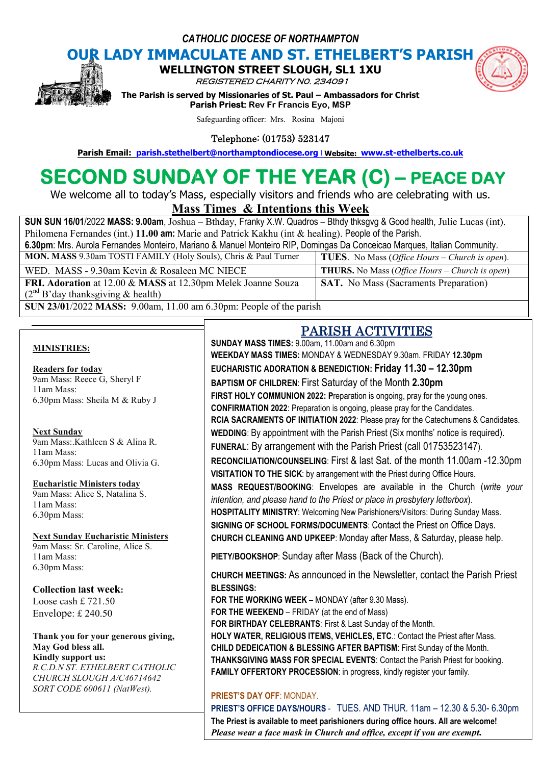*CATHOLIC DIOCESE OF NORTHAMPTON*

# **OUR LADY IMMACULATE AND ST. ETHELBERT'S PARISH<br>
WELLINGTON STREET SLOUGH, SL1 1XU WELLINGTON STREET**

REGISTERED CHARITY N0. 234091



**The Parism INDITION STREET SLOUGH, SL1 1XU<br>***REGISTERED CHARITY NO. 234091***<br>The Parish is served by Missionaries of St. Paul – Ambassadors for Christ Parish Priest: Rev Fr Francis Eyo, MSP Parish Email:** Parish is served by Missionaries of St. Paul – Ambassadors for Christ<br> **Parish Priest:** Rev Fr Francis Eyo, MSP<br>
Safeguarding officer: Mrs. Rosina Majoni<br> **Parish Email:** parish.stethelbert@northamptondioce

Safeguarding officer: Mrs. Rosina Majoni

Telephone: (01753) 523147

# **SECOND SUNDAY OF THE YEAR (C) (C) – PEACE DAY**

We welcome all to today's Mass, especially visitors and friends who are celebrating with us.

# **Mass Times Times & Intentions this Week**

| <b>SUN SUN 16/01/2022 MASS: 9.00am, Joshua – Bthday, Franky X.W. Quadros – Bthdy thksgyg &amp; Good health, Julie Lucas (int).</b> |                                                                |
|------------------------------------------------------------------------------------------------------------------------------------|----------------------------------------------------------------|
| Philomena Fernandes (int.) 11.00 am: Marie and Patrick Kakhu (int & healing). People of the Parish.                                |                                                                |
| 6.30pm: Mrs. Aurola Fernandes Monteiro, Mariano & Manuel Monteiro RIP, Domingas Da Conceicao Marques, Italian Community.           |                                                                |
| MON. MASS 9.30am TOSTI FAMILY (Holy Souls), Chris & Paul Turner                                                                    | <b>TUES.</b> No Mass ( <i>Office Hours – Church is open</i> ). |
| WED. MASS - 9.30am Kevin & Rosaleen MC NIECE                                                                                       | <b>THURS.</b> No Mass ( <i>Office Hours – Church is open</i> ) |
| FRI. Adoration at 12.00 & MASS at 12.30pm Melek Joanne Souza                                                                       | <b>SAT.</b> No Mass (Sacraments Preparation)                   |
| $(2nd B'day$ thanksgiving & health)                                                                                                |                                                                |
| SUN 23/01/2022 MASS: 9.00am, 11.00 am 6.30pm: People of the parish                                                                 |                                                                |

#### **MINISTRIES:**

**Readers for today** 9am Mass: Reece G, Sheryl F 11am Mass: 6.30pm Mass: Sheila M & Ruby J

#### **Next Sunday**

9am Mass:.Kathleen S & Alina R. 11am Mass: 6.30pm Mass: Lucas and Olivia G.

**Eucharistic Ministers today**

9am Mass: Alice S, Natalina S. 11am Mass: 6.30pm Mass:

#### **Next Sunday Eucharistic Ministers**

9am Mass: Sr. Caroline, Alice S. 11am Mass: 6.30pm Mass:

#### **Collection last week:**

Loose cash £ 721.50 Envelope: £ 240.50

### **Thank you for your generous giving, May God bless all.**

**Kindly support us:** *R.C.D.N ST. ETHELBERT CATHOLIC CHURCH SLOUGH A/C46714642 SORT CODE 600611 (NatWest).*

# PARISH ACTIVITIES ACTIVITIES

**SUNDAY MASS TIMES:** 9.00am, 11.00am and 6.30pm **WEEKDAY MASS TIMES:** MONDAY & WEDNESDAY 9.30am. FRIDAY MONDAY 9.30am. FRIDAY **12.30pm EUCHARISTIC ADORATION & BENEDICTION: Friday 11.30 – 12.30pm BAPTISM OF CHILDREN**: First Saturday of the Month **2.30pm FIRST HOLY COMMUNION 2022: P**reparation is ongoing, pray for the young ones. **CONFIRMATION 2022**: Preparation is ongoing, please pray for the Candidates. **CONFIRMATION 2022**: Preparation is ongoing, please pray for the Candidates.<br>RCIA SACRAMENTS OF INITIATION 2022: Please pray for the Catechumens & Candidates. WEDDING: By appointment with the Parish Priest (Six months' notice is required). FUNERAL: By arrangement with the Parish Priest (call 01753523147). RECONCILIATION/COUNSELING: First & last Sat. of the month 11.00am -12.30pm **VISITATION TO THE SICK**: by arrangement with the Priest during Office Hours. **VISITATION TO THE SICK**: by arrangement with the Priest during Office Hours.<br>MASS REQUEST/BOOKING: Envelopes are available in the Church (*write your intention, and please hand to the Priest or place in presbytery letterbox*). HOSPITALITY MINISTRY: Welcoming New Parishioners/Visitors: During Sunday Mass. **SIGNING OF SCHOOL FORMS/DOCUMENTS**: Contact the Priest on Office Days. SIGNING OF SCHOOL FORMS/DOCUMENTS: Contact the Priest on Office Days.<br>CHURCH CLEANING AND UPKEEP: Monday after Mass, & Saturday, please help. PIETY/BOOKSHOP: Sunday after Mass (Back of the Church). **CHURCH MEETINGS:** As announced in the Newsletter, contact the Parish Priest **BLESSINGS: FOR THE WORKING WEEK** – MONDAY (after 9.30 Mass). **FOR THE WEEKEND** – FRIDAY (at the end of Mass) **FOR BIRTHDAY CELEBRANTS**: First & Last Sunday of the Month. **HOLY WATER, RELIGIOUS ITEMS, VEHICLES, ETC.: Contact the Priest after Mass. CHILD DEDEICATION & BLESSING AFTER BAPTISM BAPTISM**: First Sunday of the Month. **THANKSGIVING MASS FOR SPECIAL EVENTS**: Contact the Parish Priest for booking. **FAMILY OFFERTORY PROCESSION**: in progress, kindly register your family.

#### **PRIEST'S DAY OFF**: MONDAY.

**FAMILY OFFERTORY PROCESSION**: in progress, kindly register your family.<br><mark>PRIEST'S DAY OFF: MOND</mark>AY.<br>**PRIEST'S OFFICE DAYS/HOURS** - TUES. AND THUR. 11am – 12.30 & 5.30- 6.30pm **The Priest is available to meet parishioners during office hours hours. All are welcome!** Please wear a face mask in Church and office, except if you are exempt.